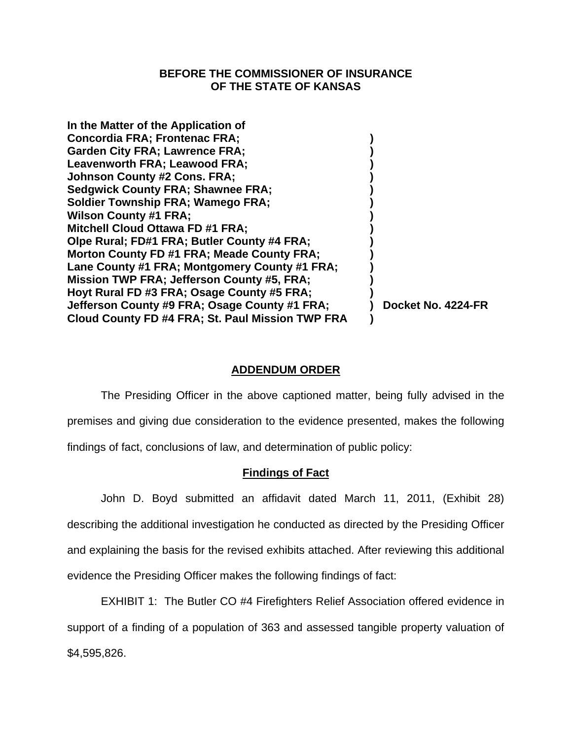## **BEFORE THE COMMISSIONER OF INSURANCE OF THE STATE OF KANSAS**

| In the Matter of the Application of               |                    |
|---------------------------------------------------|--------------------|
| <b>Concordia FRA; Frontenac FRA;</b>              |                    |
| <b>Garden City FRA; Lawrence FRA;</b>             |                    |
| Leavenworth FRA; Leawood FRA;                     |                    |
| <b>Johnson County #2 Cons. FRA;</b>               |                    |
| <b>Sedgwick County FRA; Shawnee FRA;</b>          |                    |
| <b>Soldier Township FRA; Wamego FRA;</b>          |                    |
| <b>Wilson County #1 FRA;</b>                      |                    |
| <b>Mitchell Cloud Ottawa FD #1 FRA;</b>           |                    |
| Olpe Rural; FD#1 FRA; Butler County #4 FRA;       |                    |
| Morton County FD #1 FRA; Meade County FRA;        |                    |
| Lane County #1 FRA; Montgomery County #1 FRA;     |                    |
| <b>Mission TWP FRA: Jefferson County #5, FRA:</b> |                    |
| Hoyt Rural FD #3 FRA; Osage County #5 FRA;        |                    |
| Jefferson County #9 FRA; Osage County #1 FRA;     | Docket No. 4224-FR |
| Cloud County FD #4 FRA; St. Paul Mission TWP FRA  |                    |
|                                                   |                    |

# **ADDENDUM ORDER**

 The Presiding Officer in the above captioned matter, being fully advised in the premises and giving due consideration to the evidence presented, makes the following findings of fact, conclusions of law, and determination of public policy:

# **Findings of Fact**

 John D. Boyd submitted an affidavit dated March 11, 2011, (Exhibit 28) describing the additional investigation he conducted as directed by the Presiding Officer and explaining the basis for the revised exhibits attached. After reviewing this additional evidence the Presiding Officer makes the following findings of fact:

EXHIBIT 1: The Butler CO #4 Firefighters Relief Association offered evidence in support of a finding of a population of 363 and assessed tangible property valuation of \$4,595,826.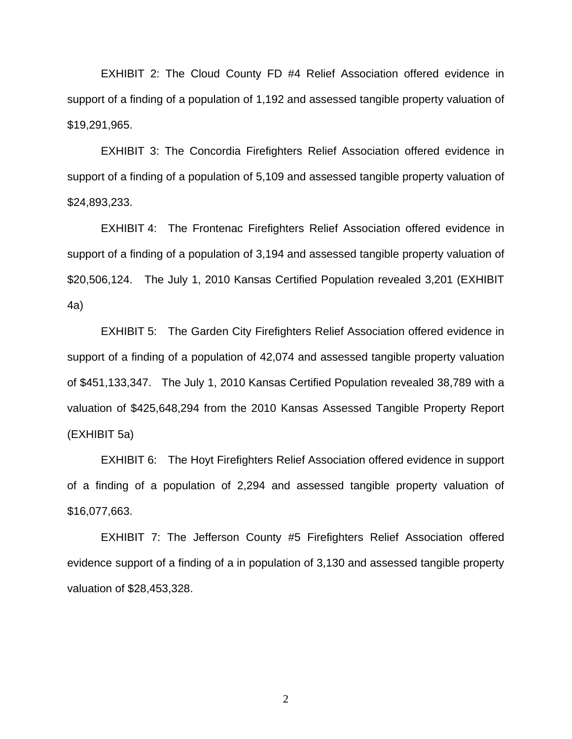EXHIBIT 2: The Cloud County FD #4 Relief Association offered evidence in support of a finding of a population of 1,192 and assessed tangible property valuation of \$19,291,965.

EXHIBIT 3: The Concordia Firefighters Relief Association offered evidence in support of a finding of a population of 5,109 and assessed tangible property valuation of \$24,893,233.

EXHIBIT 4: The Frontenac Firefighters Relief Association offered evidence in support of a finding of a population of 3,194 and assessed tangible property valuation of \$20,506,124. The July 1, 2010 Kansas Certified Population revealed 3,201 (EXHIBIT 4a)

EXHIBIT 5: The Garden City Firefighters Relief Association offered evidence in support of a finding of a population of 42,074 and assessed tangible property valuation of \$451,133,347. The July 1, 2010 Kansas Certified Population revealed 38,789 with a valuation of \$425,648,294 from the 2010 Kansas Assessed Tangible Property Report (EXHIBIT 5a)

EXHIBIT 6: The Hoyt Firefighters Relief Association offered evidence in support of a finding of a population of 2,294 and assessed tangible property valuation of \$16,077,663.

EXHIBIT 7: The Jefferson County #5 Firefighters Relief Association offered evidence support of a finding of a in population of 3,130 and assessed tangible property valuation of \$28,453,328.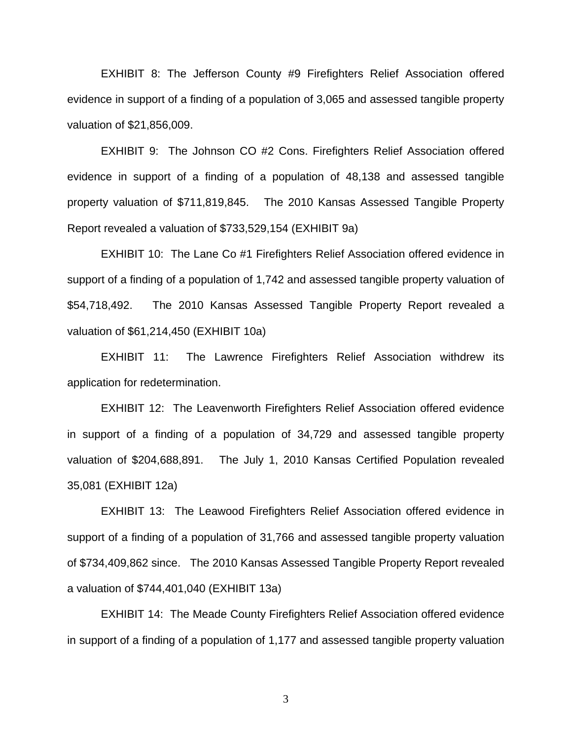EXHIBIT 8: The Jefferson County #9 Firefighters Relief Association offered evidence in support of a finding of a population of 3,065 and assessed tangible property valuation of \$21,856,009.

EXHIBIT 9: The Johnson CO #2 Cons. Firefighters Relief Association offered evidence in support of a finding of a population of 48,138 and assessed tangible property valuation of \$711,819,845. The 2010 Kansas Assessed Tangible Property Report revealed a valuation of \$733,529,154 (EXHIBIT 9a)

EXHIBIT 10: The Lane Co #1 Firefighters Relief Association offered evidence in support of a finding of a population of 1,742 and assessed tangible property valuation of \$54,718,492. The 2010 Kansas Assessed Tangible Property Report revealed a valuation of \$61,214,450 (EXHIBIT 10a)

EXHIBIT 11: The Lawrence Firefighters Relief Association withdrew its application for redetermination.

EXHIBIT 12: The Leavenworth Firefighters Relief Association offered evidence in support of a finding of a population of 34,729 and assessed tangible property valuation of \$204,688,891. The July 1, 2010 Kansas Certified Population revealed 35,081 (EXHIBIT 12a)

EXHIBIT 13: The Leawood Firefighters Relief Association offered evidence in support of a finding of a population of 31,766 and assessed tangible property valuation of \$734,409,862 since. The 2010 Kansas Assessed Tangible Property Report revealed a valuation of \$744,401,040 (EXHIBIT 13a)

EXHIBIT 14: The Meade County Firefighters Relief Association offered evidence in support of a finding of a population of 1,177 and assessed tangible property valuation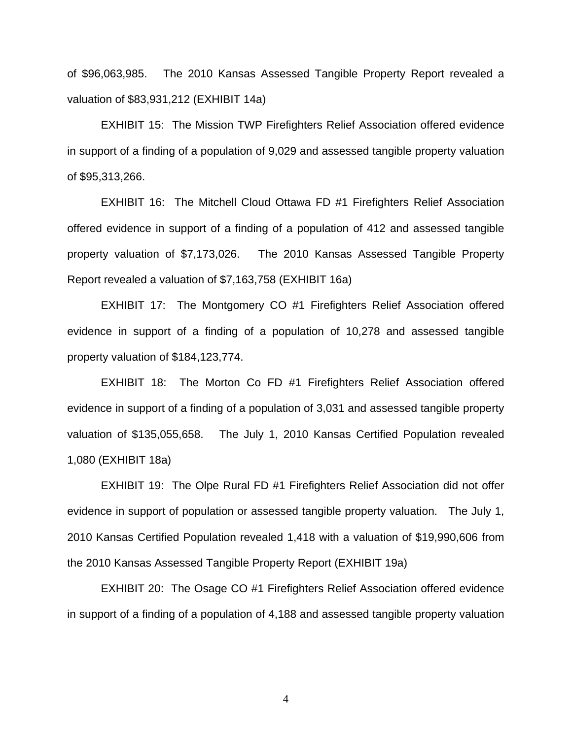of \$96,063,985. The 2010 Kansas Assessed Tangible Property Report revealed a valuation of \$83,931,212 (EXHIBIT 14a)

EXHIBIT 15: The Mission TWP Firefighters Relief Association offered evidence in support of a finding of a population of 9,029 and assessed tangible property valuation of \$95,313,266.

EXHIBIT 16: The Mitchell Cloud Ottawa FD #1 Firefighters Relief Association offered evidence in support of a finding of a population of 412 and assessed tangible property valuation of \$7,173,026. The 2010 Kansas Assessed Tangible Property Report revealed a valuation of \$7,163,758 (EXHIBIT 16a)

EXHIBIT 17: The Montgomery CO #1 Firefighters Relief Association offered evidence in support of a finding of a population of 10,278 and assessed tangible property valuation of \$184,123,774.

EXHIBIT 18: The Morton Co FD #1 Firefighters Relief Association offered evidence in support of a finding of a population of 3,031 and assessed tangible property valuation of \$135,055,658. The July 1, 2010 Kansas Certified Population revealed 1,080 (EXHIBIT 18a)

EXHIBIT 19: The Olpe Rural FD #1 Firefighters Relief Association did not offer evidence in support of population or assessed tangible property valuation. The July 1, 2010 Kansas Certified Population revealed 1,418 with a valuation of \$19,990,606 from the 2010 Kansas Assessed Tangible Property Report (EXHIBIT 19a)

EXHIBIT 20: The Osage CO #1 Firefighters Relief Association offered evidence in support of a finding of a population of 4,188 and assessed tangible property valuation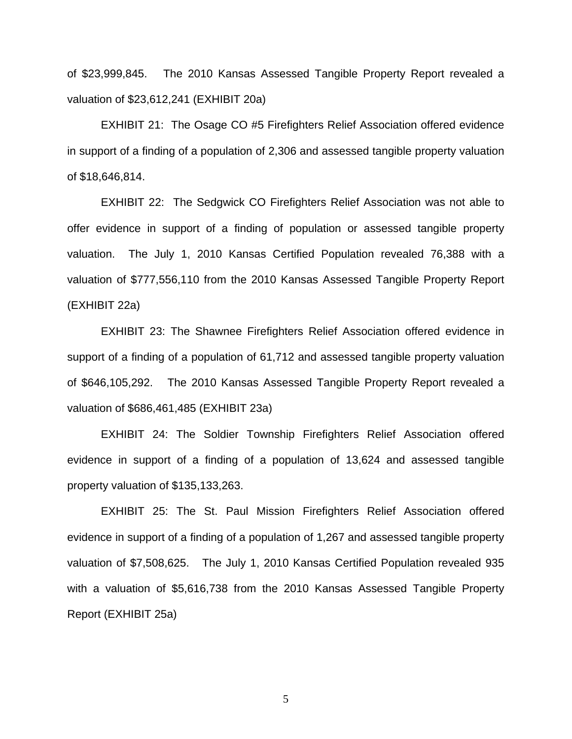of \$23,999,845. The 2010 Kansas Assessed Tangible Property Report revealed a valuation of \$23,612,241 (EXHIBIT 20a)

EXHIBIT 21: The Osage CO #5 Firefighters Relief Association offered evidence in support of a finding of a population of 2,306 and assessed tangible property valuation of \$18,646,814.

EXHIBIT 22: The Sedgwick CO Firefighters Relief Association was not able to offer evidence in support of a finding of population or assessed tangible property valuation. The July 1, 2010 Kansas Certified Population revealed 76,388 with a valuation of \$777,556,110 from the 2010 Kansas Assessed Tangible Property Report (EXHIBIT 22a)

EXHIBIT 23: The Shawnee Firefighters Relief Association offered evidence in support of a finding of a population of 61,712 and assessed tangible property valuation of \$646,105,292. The 2010 Kansas Assessed Tangible Property Report revealed a valuation of \$686,461,485 (EXHIBIT 23a)

EXHIBIT 24: The Soldier Township Firefighters Relief Association offered evidence in support of a finding of a population of 13,624 and assessed tangible property valuation of \$135,133,263.

EXHIBIT 25: The St. Paul Mission Firefighters Relief Association offered evidence in support of a finding of a population of 1,267 and assessed tangible property valuation of \$7,508,625. The July 1, 2010 Kansas Certified Population revealed 935 with a valuation of \$5,616,738 from the 2010 Kansas Assessed Tangible Property Report (EXHIBIT 25a)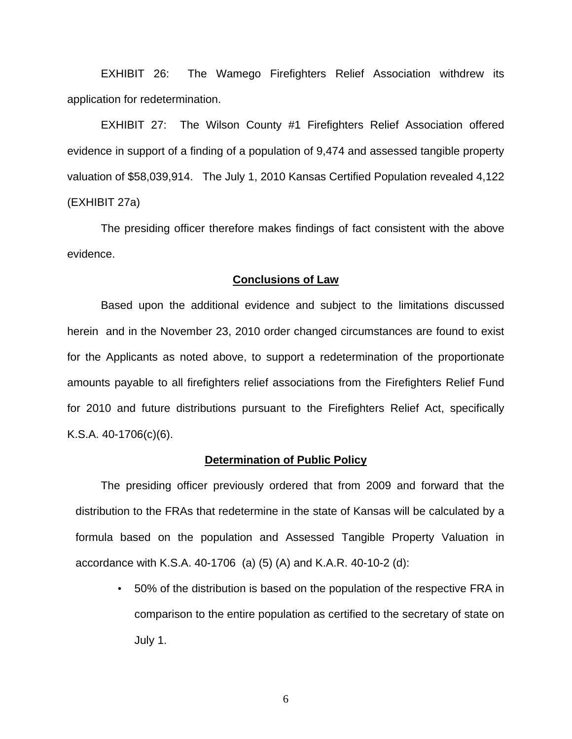EXHIBIT 26: The Wamego Firefighters Relief Association withdrew its application for redetermination.

EXHIBIT 27: The Wilson County #1 Firefighters Relief Association offered evidence in support of a finding of a population of 9,474 and assessed tangible property valuation of \$58,039,914. The July 1, 2010 Kansas Certified Population revealed 4,122 (EXHIBIT 27a)

The presiding officer therefore makes findings of fact consistent with the above evidence.

#### **Conclusions of Law**

Based upon the additional evidence and subject to the limitations discussed herein and in the November 23, 2010 order changed circumstances are found to exist for the Applicants as noted above, to support a redetermination of the proportionate amounts payable to all firefighters relief associations from the Firefighters Relief Fund for 2010 and future distributions pursuant to the Firefighters Relief Act, specifically K.S.A. 40-1706(c)(6).

#### **Determination of Public Policy**

The presiding officer previously ordered that from 2009 and forward that the distribution to the FRAs that redetermine in the state of Kansas will be calculated by a formula based on the population and Assessed Tangible Property Valuation in accordance with K.S.A. 40-1706 (a) (5) (A) and K.A.R. 40-10-2 (d):

• 50% of the distribution is based on the population of the respective FRA in comparison to the entire population as certified to the secretary of state on July 1.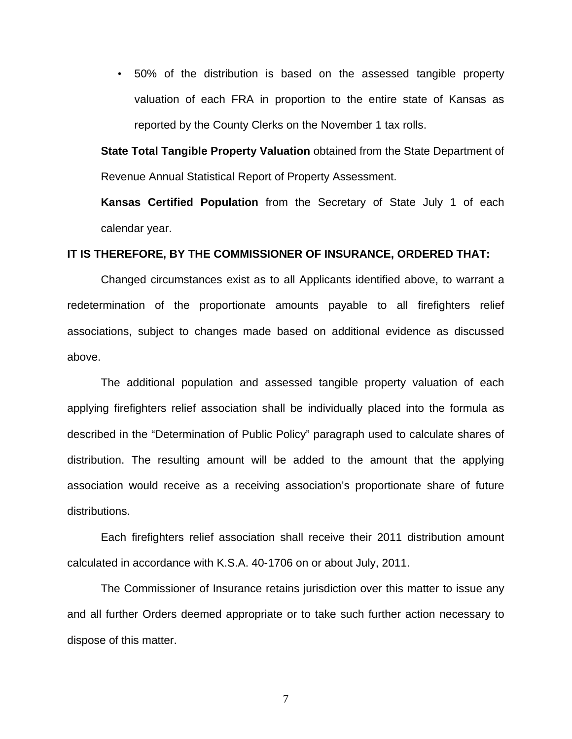• 50% of the distribution is based on the assessed tangible property valuation of each FRA in proportion to the entire state of Kansas as reported by the County Clerks on the November 1 tax rolls.

**State Total Tangible Property Valuation** obtained from the State Department of Revenue Annual Statistical Report of Property Assessment.

**Kansas Certified Population** from the Secretary of State July 1 of each calendar year.

### **IT IS THEREFORE, BY THE COMMISSIONER OF INSURANCE, ORDERED THAT:**

Changed circumstances exist as to all Applicants identified above, to warrant a redetermination of the proportionate amounts payable to all firefighters relief associations, subject to changes made based on additional evidence as discussed above.

 The additional population and assessed tangible property valuation of each applying firefighters relief association shall be individually placed into the formula as described in the "Determination of Public Policy" paragraph used to calculate shares of distribution. The resulting amount will be added to the amount that the applying association would receive as a receiving association's proportionate share of future distributions.

Each firefighters relief association shall receive their 2011 distribution amount calculated in accordance with K.S.A. 40-1706 on or about July, 2011.

The Commissioner of Insurance retains jurisdiction over this matter to issue any and all further Orders deemed appropriate or to take such further action necessary to dispose of this matter.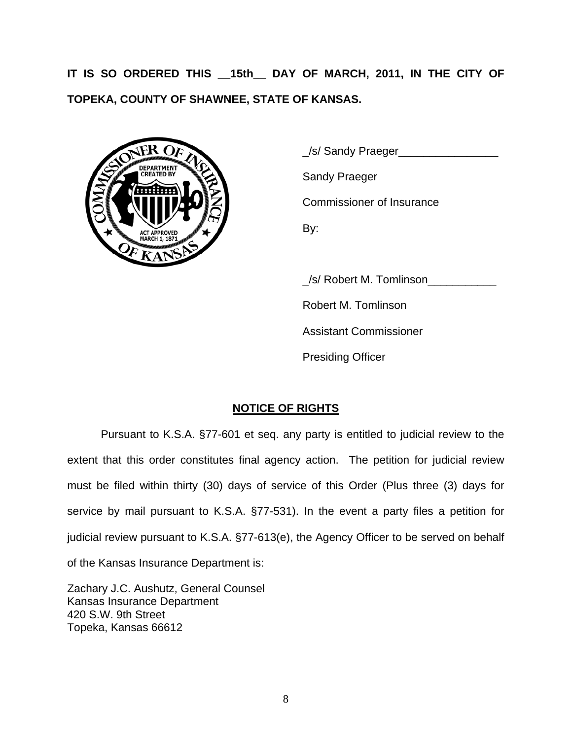**IT IS SO ORDERED THIS \_\_15th\_\_ DAY OF MARCH, 2011, IN THE CITY OF TOPEKA, COUNTY OF SHAWNEE, STATE OF KANSAS.**



 \_/s/ Sandy Praeger\_\_\_\_\_\_\_\_\_\_\_\_\_\_\_\_ Commissioner of Insurance

 \_/s/ Robert M. Tomlinson\_\_\_\_\_\_\_\_\_\_\_ Robert M. Tomlinson Assistant Commissioner Presiding Officer

# **NOTICE OF RIGHTS**

Pursuant to K.S.A. §77-601 et seq. any party is entitled to judicial review to the extent that this order constitutes final agency action. The petition for judicial review must be filed within thirty (30) days of service of this Order (Plus three (3) days for service by mail pursuant to K.S.A. §77-531). In the event a party files a petition for judicial review pursuant to K.S.A. §77-613(e), the Agency Officer to be served on behalf of the Kansas Insurance Department is:

Zachary J.C. Aushutz, General Counsel Kansas Insurance Department 420 S.W. 9th Street Topeka, Kansas 66612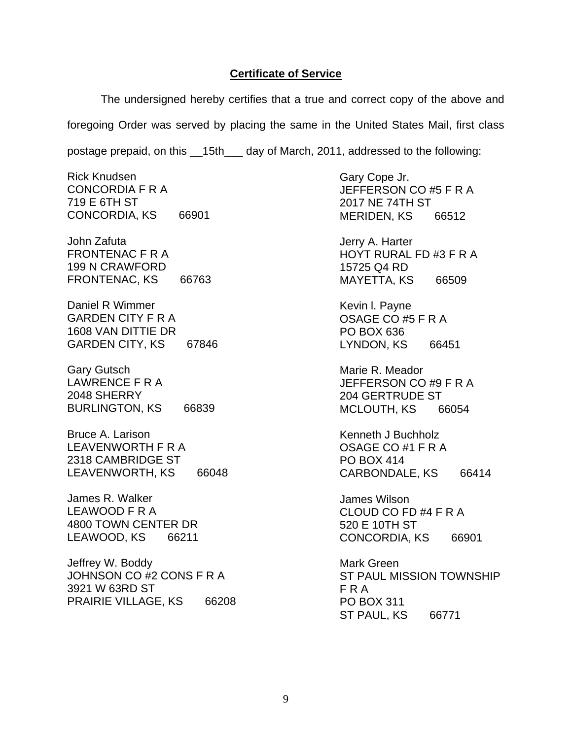### **Certificate of Service**

The undersigned hereby certifies that a true and correct copy of the above and foregoing Order was served by placing the same in the United States Mail, first class postage prepaid, on this \_\_15th\_\_\_ day of March, 2011, addressed to the following:

Rick Knudsen CONCORDIA F R A 719 E 6TH ST CONCORDIA, KS 66901

John Zafuta FRONTENAC F R A 199 N CRAWFORD FRONTENAC, KS 66763

Daniel R Wimmer GARDEN CITY F R A 1608 VAN DITTIE DR GARDEN CITY, KS 67846

Gary Gutsch LAWRENCE F R A 2048 SHERRY BURLINGTON, KS 66839

Bruce A. Larison LEAVENWORTH F R A 2318 CAMBRIDGE ST LEAVENWORTH, KS 66048

James R. Walker LEAWOOD F R A 4800 TOWN CENTER DR LEAWOOD, KS 66211

Jeffrey W. Boddy JOHNSON CO #2 CONS F R A 3921 W 63RD ST PRAIRIE VILLAGE, KS 66208 Gary Cope Jr. JEFFERSON CO #5 F R A 2017 NE 74TH ST MERIDEN, KS 66512

Jerry A. Harter HOYT RURAL FD #3 F R A 15725 Q4 RD MAYETTA, KS 66509

Kevin l. Payne OSAGE CO #5 F R A PO BOX 636 LYNDON, KS 66451

Marie R. Meador JEFFERSON CO #9 F R A 204 GERTRUDE ST MCLOUTH, KS 66054

Kenneth J Buchholz OSAGE CO #1 F R A PO BOX 414 CARBONDALE, KS 66414

James Wilson CLOUD CO FD #4 F R A 520 E 10TH ST CONCORDIA, KS 66901

Mark Green ST PAUL MISSION TOWNSHIP F R A PO BOX 311 ST PAUL, KS 66771